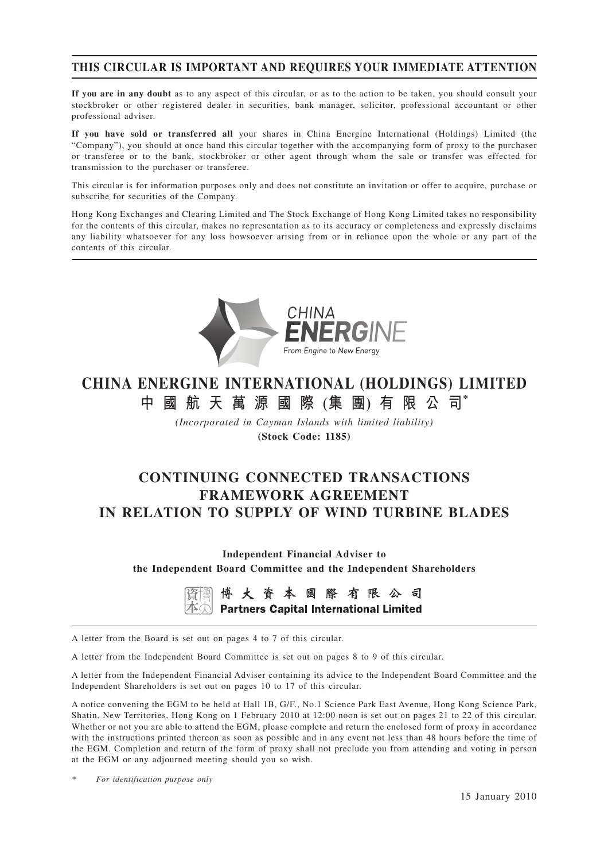## **THIS CIRCULAR IS IMPORTANT AND REQUIRES YOUR IMMEDIATE ATTENTION**

**If you are in any doubt** as to any aspect of this circular, or as to the action to be taken, you should consult your stockbroker or other registered dealer in securities, bank manager, solicitor, professional accountant or other professional adviser.

**If you have sold or transferred all** your shares in China Energine International (Holdings) Limited (the "Company"), you should at once hand this circular together with the accompanying form of proxy to the purchaser or transferee or to the bank, stockbroker or other agent through whom the sale or transfer was effected for transmission to the purchaser or transferee.

This circular is for information purposes only and does not constitute an invitation or offer to acquire, purchase or subscribe for securities of the Company.

Hong Kong Exchanges and Clearing Limited and The Stock Exchange of Hong Kong Limited takes no responsibility for the contents of this circular, makes no representation as to its accuracy or completeness and expressly disclaims any liability whatsoever for any loss howsoever arising from or in reliance upon the whole or any part of the contents of this circular.



# **CHINA ENERGINE INTERNATIONAL (HOLDINGS) LIMITED 中國航天萬源國際 (集 團) 有限公司\***

*(Incorporated in Cayman Islands with limited liability)* **(Stock Code: 1185)**

# **CONTINUING CONNECTED TRANSACTIONS FRAMEWORK AGREEMENT IN RELATION TO SUPPLY OF WIND TURBINE BLADES**

**Independent Financial Adviser to the Independent Board Committee and the Independent Shareholders**

> 博大資本國際有限公司 **Partners Capital International Limited**

A letter from the Board is set out on pages 4 to 7 of this circular.

A letter from the Independent Board Committee is set out on pages 8 to 9 of this circular.

A letter from the Independent Financial Adviser containing its advice to the Independent Board Committee and the Independent Shareholders is set out on pages 10 to 17 of this circular.

A notice convening the EGM to be held at Hall 1B, G/F., No.1 Science Park East Avenue, Hong Kong Science Park, Shatin, New Territories, Hong Kong on 1 February 2010 at 12:00 noon is set out on pages 21 to 22 of this circular. Whether or not you are able to attend the EGM, please complete and return the enclosed form of proxy in accordance with the instructions printed thereon as soon as possible and in any event not less than 48 hours before the time of the EGM. Completion and return of the form of proxy shall not preclude you from attending and voting in person at the EGM or any adjourned meeting should you so wish.

*\* For identification purpose only*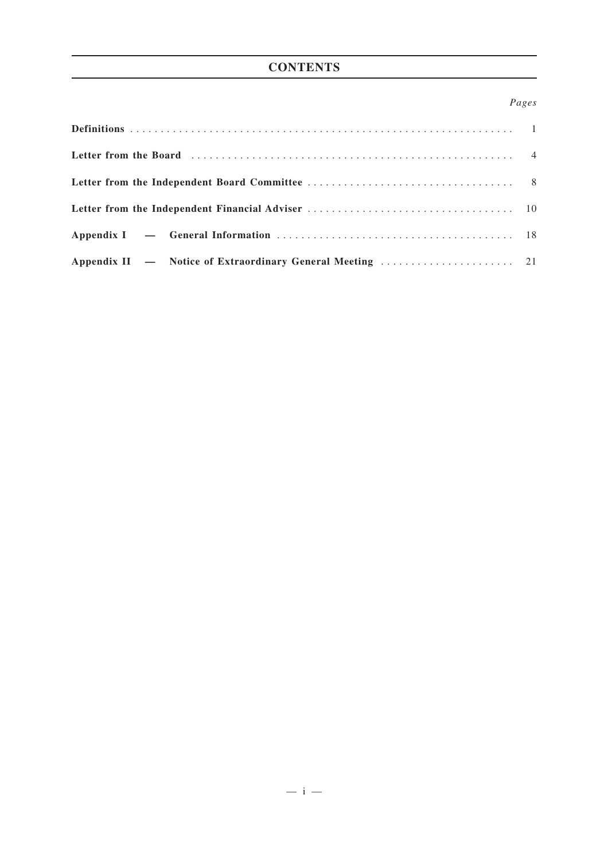# **CONTENTS**

### *Pages*

| Letter from the Board (and the contract of the contract of the contract of the contract of the contract of the contract of the contract of the Board (contract of the contract of the contract of the contract of the contract |  |
|--------------------------------------------------------------------------------------------------------------------------------------------------------------------------------------------------------------------------------|--|
|                                                                                                                                                                                                                                |  |
|                                                                                                                                                                                                                                |  |
|                                                                                                                                                                                                                                |  |
|                                                                                                                                                                                                                                |  |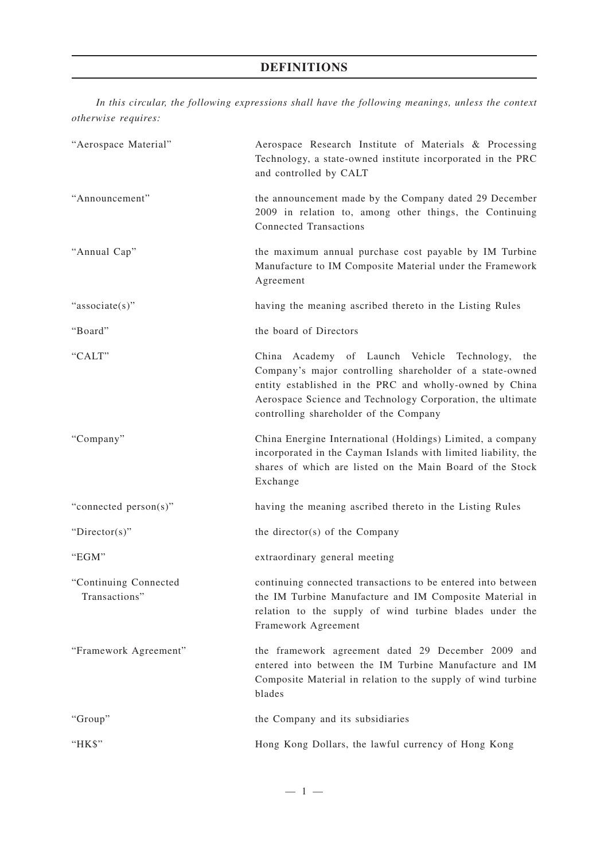# **DEFINITIONS**

*In this circular, the following expressions shall have the following meanings, unless the context otherwise requires:*

| "Aerospace Material"                   | Aerospace Research Institute of Materials & Processing<br>Technology, a state-owned institute incorporated in the PRC<br>and controlled by CALT                                                                                                                                   |
|----------------------------------------|-----------------------------------------------------------------------------------------------------------------------------------------------------------------------------------------------------------------------------------------------------------------------------------|
| "Announcement"                         | the announcement made by the Company dated 29 December<br>2009 in relation to, among other things, the Continuing<br><b>Connected Transactions</b>                                                                                                                                |
| "Annual Cap"                           | the maximum annual purchase cost payable by IM Turbine<br>Manufacture to IM Composite Material under the Framework<br>Agreement                                                                                                                                                   |
| "associate(s)"                         | having the meaning ascribed thereto in the Listing Rules                                                                                                                                                                                                                          |
| "Board"                                | the board of Directors                                                                                                                                                                                                                                                            |
| "CALT"                                 | China Academy of Launch Vehicle Technology,<br>the<br>Company's major controlling shareholder of a state-owned<br>entity established in the PRC and wholly-owned by China<br>Aerospace Science and Technology Corporation, the ultimate<br>controlling shareholder of the Company |
| "Company"                              | China Energine International (Holdings) Limited, a company<br>incorporated in the Cayman Islands with limited liability, the<br>shares of which are listed on the Main Board of the Stock<br>Exchange                                                                             |
| "connected person(s)"                  | having the meaning ascribed thereto in the Listing Rules                                                                                                                                                                                                                          |
| "Director(s)"                          | the director(s) of the Company                                                                                                                                                                                                                                                    |
| "EGM"                                  | extraordinary general meeting                                                                                                                                                                                                                                                     |
| "Continuing Connected<br>Transactions" | continuing connected transactions to be entered into between<br>the IM Turbine Manufacture and IM Composite Material in<br>relation to the supply of wind turbine blades under the<br>Framework Agreement                                                                         |
| "Framework Agreement"                  | the framework agreement dated 29 December 2009 and<br>entered into between the IM Turbine Manufacture and IM<br>Composite Material in relation to the supply of wind turbine<br>blades                                                                                            |
| "Group"                                | the Company and its subsidiaries                                                                                                                                                                                                                                                  |
| "HK\$"                                 | Hong Kong Dollars, the lawful currency of Hong Kong                                                                                                                                                                                                                               |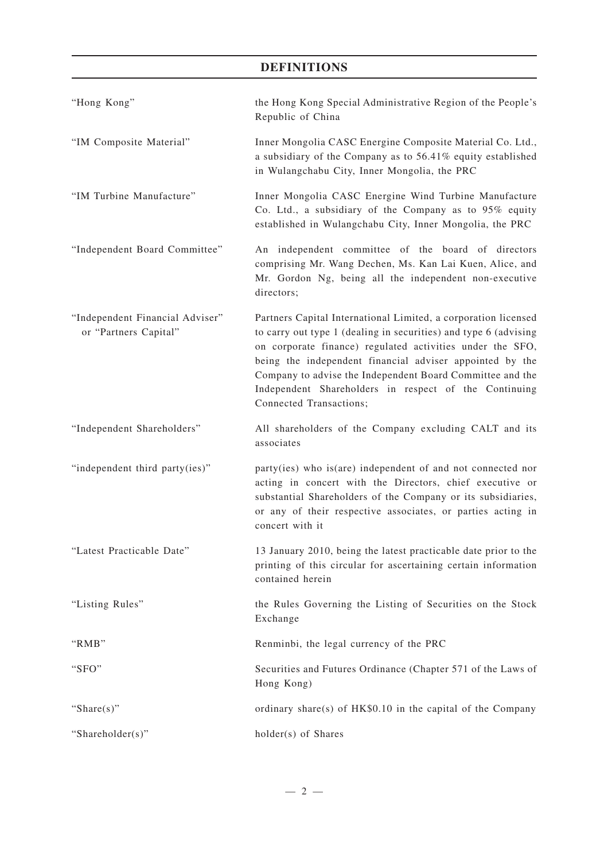## **DEFINITIONS**

| "Hong Kong"                                              | the Hong Kong Special Administrative Region of the People's<br>Republic of China                                                                                                                                                                                                                                                                                                                             |
|----------------------------------------------------------|--------------------------------------------------------------------------------------------------------------------------------------------------------------------------------------------------------------------------------------------------------------------------------------------------------------------------------------------------------------------------------------------------------------|
| "IM Composite Material"                                  | Inner Mongolia CASC Energine Composite Material Co. Ltd.,<br>a subsidiary of the Company as to 56.41% equity established<br>in Wulangchabu City, Inner Mongolia, the PRC                                                                                                                                                                                                                                     |
| "IM Turbine Manufacture"                                 | Inner Mongolia CASC Energine Wind Turbine Manufacture<br>Co. Ltd., a subsidiary of the Company as to 95% equity<br>established in Wulangchabu City, Inner Mongolia, the PRC                                                                                                                                                                                                                                  |
| "Independent Board Committee"                            | An independent committee of the board of directors<br>comprising Mr. Wang Dechen, Ms. Kan Lai Kuen, Alice, and<br>Mr. Gordon Ng, being all the independent non-executive<br>directors;                                                                                                                                                                                                                       |
| "Independent Financial Adviser"<br>or "Partners Capital" | Partners Capital International Limited, a corporation licensed<br>to carry out type 1 (dealing in securities) and type 6 (advising<br>on corporate finance) regulated activities under the SFO,<br>being the independent financial adviser appointed by the<br>Company to advise the Independent Board Committee and the<br>Independent Shareholders in respect of the Continuing<br>Connected Transactions; |
| "Independent Shareholders"                               | All shareholders of the Company excluding CALT and its<br>associates                                                                                                                                                                                                                                                                                                                                         |
| "independent third party(ies)"                           | party(ies) who is(are) independent of and not connected nor<br>acting in concert with the Directors, chief executive or<br>substantial Shareholders of the Company or its subsidiaries,<br>or any of their respective associates, or parties acting in<br>concert with it                                                                                                                                    |
| "Latest Practicable Date"                                | 13 January 2010, being the latest practicable date prior to the<br>printing of this circular for ascertaining certain information<br>contained herein                                                                                                                                                                                                                                                        |
| "Listing Rules"                                          | the Rules Governing the Listing of Securities on the Stock<br>Exchange                                                                                                                                                                                                                                                                                                                                       |
| "RMB"                                                    | Renminbi, the legal currency of the PRC                                                                                                                                                                                                                                                                                                                                                                      |
| "SFO"                                                    | Securities and Futures Ordinance (Chapter 571 of the Laws of<br>Hong Kong)                                                                                                                                                                                                                                                                                                                                   |
| "Share $(s)$ "                                           | ordinary share(s) of HK\$0.10 in the capital of the Company                                                                                                                                                                                                                                                                                                                                                  |
| "Shareholder(s)"                                         | holder(s) of Shares                                                                                                                                                                                                                                                                                                                                                                                          |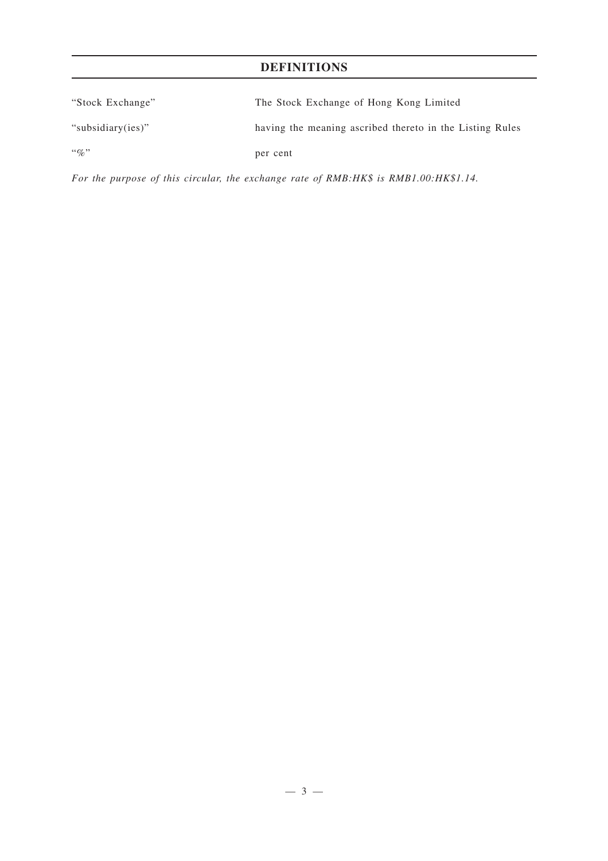# **DEFINITIONS**

| "Stock Exchange"  | The Stock Exchange of Hong Kong Limited                  |
|-------------------|----------------------------------------------------------|
| "subsidiary(ies)" | having the meaning ascribed thereto in the Listing Rules |
| $\lq\lq q_0$ "    | per cent                                                 |

*For the purpose of this circular, the exchange rate of RMB:HK\$ is RMB1.00:HK\$1.14.*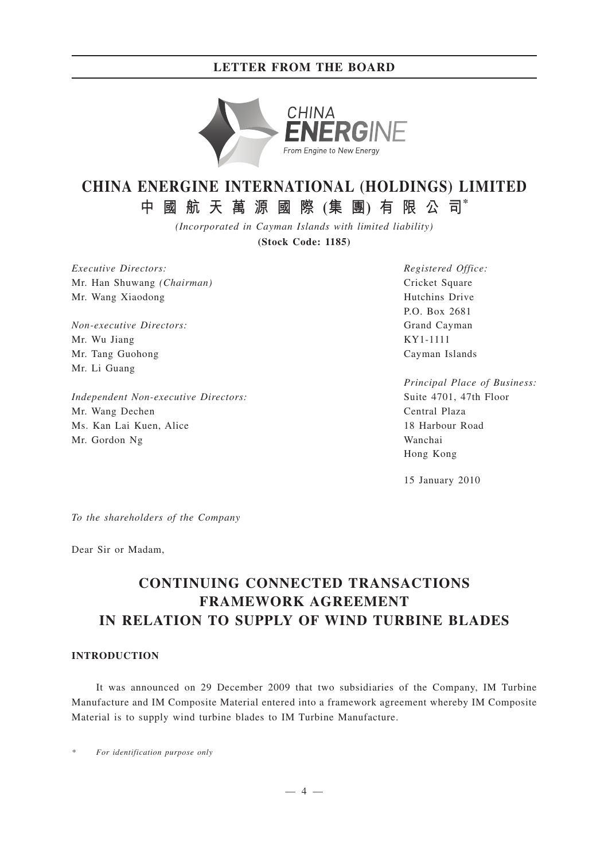## **LETTER FROM THE BOARD**



# **CHINA ENERGINE INTERNATIONAL (HOLDINGS) LIMITED**

**中國航天萬源國際 (集 團) 有限公司\***

*(Incorporated in Cayman Islands with limited liability)*

**(Stock Code: 1185)**

*Executive Directors:* Mr. Han Shuwang *(Chairman)* Mr. Wang Xiaodong

*Non-executive Directors:* Mr. Wu Jiang Mr. Tang Guohong Mr. Li Guang

*Independent Non-executive Directors:* Mr. Wang Dechen Ms. Kan Lai Kuen, Alice Mr. Gordon Ng

*Registered Office:* Cricket Square Hutchins Drive P.O. Box 2681 Grand Cayman KY1-1111 Cayman Islands

*Principal Place of Business:* Suite 4701, 47th Floor Central Plaza 18 Harbour Road Wanchai Hong Kong

15 January 2010

*To the shareholders of the Company*

Dear Sir or Madam,

# **CONTINUING CONNECTED TRANSACTIONS FRAMEWORK AGREEMENT IN RELATION TO SUPPLY OF WIND TURBINE BLADES**

#### **INTRODUCTION**

It was announced on 29 December 2009 that two subsidiaries of the Company, IM Turbine Manufacture and IM Composite Material entered into a framework agreement whereby IM Composite Material is to supply wind turbine blades to IM Turbine Manufacture.

*\* For identification purpose only*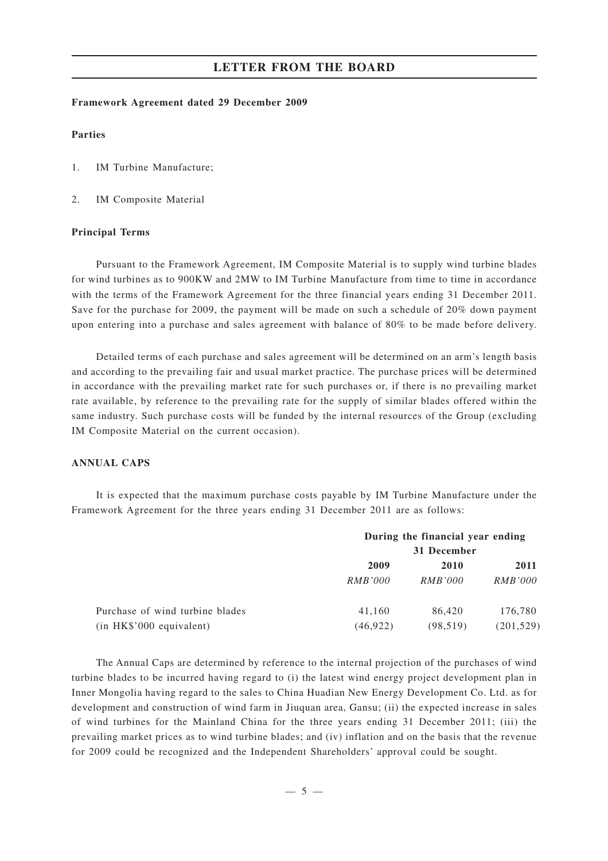#### **LETTER FROM THE BOARD**

#### **Framework Agreement dated 29 December 2009**

#### **Parties**

- 1. IM Turbine Manufacture;
- 2. IM Composite Material

#### **Principal Terms**

Pursuant to the Framework Agreement, IM Composite Material is to supply wind turbine blades for wind turbines as to 900KW and 2MW to IM Turbine Manufacture from time to time in accordance with the terms of the Framework Agreement for the three financial years ending 31 December 2011. Save for the purchase for 2009, the payment will be made on such a schedule of 20% down payment upon entering into a purchase and sales agreement with balance of 80% to be made before delivery.

Detailed terms of each purchase and sales agreement will be determined on an arm's length basis and according to the prevailing fair and usual market practice. The purchase prices will be determined in accordance with the prevailing market rate for such purchases or, if there is no prevailing market rate available, by reference to the prevailing rate for the supply of similar blades offered within the same industry. Such purchase costs will be funded by the internal resources of the Group (excluding IM Composite Material on the current occasion).

#### **ANNUAL CAPS**

It is expected that the maximum purchase costs payable by IM Turbine Manufacture under the Framework Agreement for the three years ending 31 December 2011 are as follows:

|                                 | During the financial year ending |                |                |
|---------------------------------|----------------------------------|----------------|----------------|
|                                 | 31 December                      |                |                |
|                                 | 2009                             | 2010           | 2011           |
|                                 | RMB'000                          | <i>RMB'000</i> | <i>RMB'000</i> |
| Purchase of wind turbine blades | 41,160                           | 86,420         | 176,780        |
| $(in$ HK $$$ '000 equivalent)   | (46, 922)                        | (98, 519)      | (201, 529)     |

The Annual Caps are determined by reference to the internal projection of the purchases of wind turbine blades to be incurred having regard to (i) the latest wind energy project development plan in Inner Mongolia having regard to the sales to China Huadian New Energy Development Co. Ltd. as for development and construction of wind farm in Jiuquan area, Gansu; (ii) the expected increase in sales of wind turbines for the Mainland China for the three years ending 31 December 2011; (iii) the prevailing market prices as to wind turbine blades; and (iv) inflation and on the basis that the revenue for 2009 could be recognized and the Independent Shareholders' approval could be sought.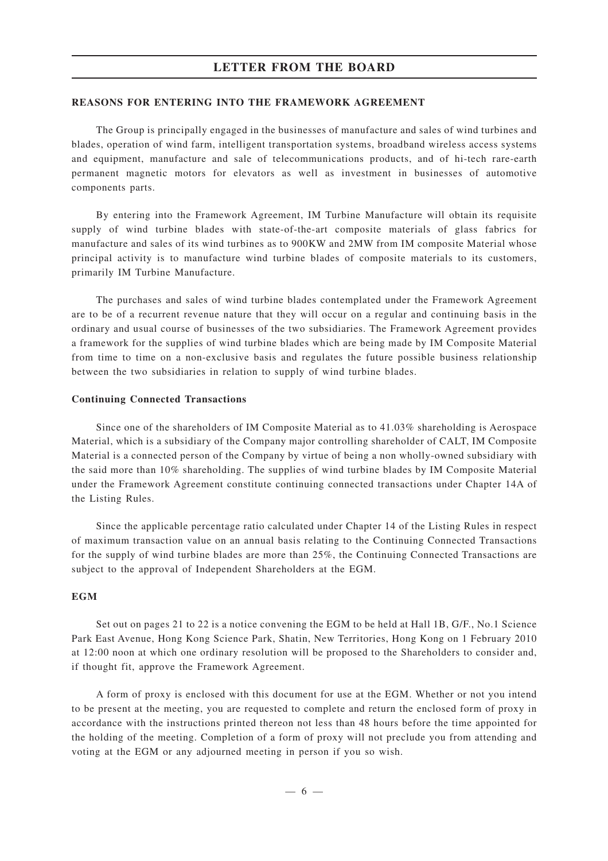#### **LETTER FROM THE BOARD**

#### **REASONS FOR ENTERING INTO THE FRAMEWORK AGREEMENT**

The Group is principally engaged in the businesses of manufacture and sales of wind turbines and blades, operation of wind farm, intelligent transportation systems, broadband wireless access systems and equipment, manufacture and sale of telecommunications products, and of hi-tech rare-earth permanent magnetic motors for elevators as well as investment in businesses of automotive components parts.

By entering into the Framework Agreement, IM Turbine Manufacture will obtain its requisite supply of wind turbine blades with state-of-the-art composite materials of glass fabrics for manufacture and sales of its wind turbines as to 900KW and 2MW from IM composite Material whose principal activity is to manufacture wind turbine blades of composite materials to its customers, primarily IM Turbine Manufacture.

The purchases and sales of wind turbine blades contemplated under the Framework Agreement are to be of a recurrent revenue nature that they will occur on a regular and continuing basis in the ordinary and usual course of businesses of the two subsidiaries. The Framework Agreement provides a framework for the supplies of wind turbine blades which are being made by IM Composite Material from time to time on a non-exclusive basis and regulates the future possible business relationship between the two subsidiaries in relation to supply of wind turbine blades.

#### **Continuing Connected Transactions**

Since one of the shareholders of IM Composite Material as to 41.03% shareholding is Aerospace Material, which is a subsidiary of the Company major controlling shareholder of CALT, IM Composite Material is a connected person of the Company by virtue of being a non wholly-owned subsidiary with the said more than 10% shareholding. The supplies of wind turbine blades by IM Composite Material under the Framework Agreement constitute continuing connected transactions under Chapter 14A of the Listing Rules.

Since the applicable percentage ratio calculated under Chapter 14 of the Listing Rules in respect of maximum transaction value on an annual basis relating to the Continuing Connected Transactions for the supply of wind turbine blades are more than 25%, the Continuing Connected Transactions are subject to the approval of Independent Shareholders at the EGM.

#### **EGM**

Set out on pages 21 to 22 is a notice convening the EGM to be held at Hall 1B, G/F., No.1 Science Park East Avenue, Hong Kong Science Park, Shatin, New Territories, Hong Kong on 1 February 2010 at 12:00 noon at which one ordinary resolution will be proposed to the Shareholders to consider and, if thought fit, approve the Framework Agreement.

A form of proxy is enclosed with this document for use at the EGM. Whether or not you intend to be present at the meeting, you are requested to complete and return the enclosed form of proxy in accordance with the instructions printed thereon not less than 48 hours before the time appointed for the holding of the meeting. Completion of a form of proxy will not preclude you from attending and voting at the EGM or any adjourned meeting in person if you so wish.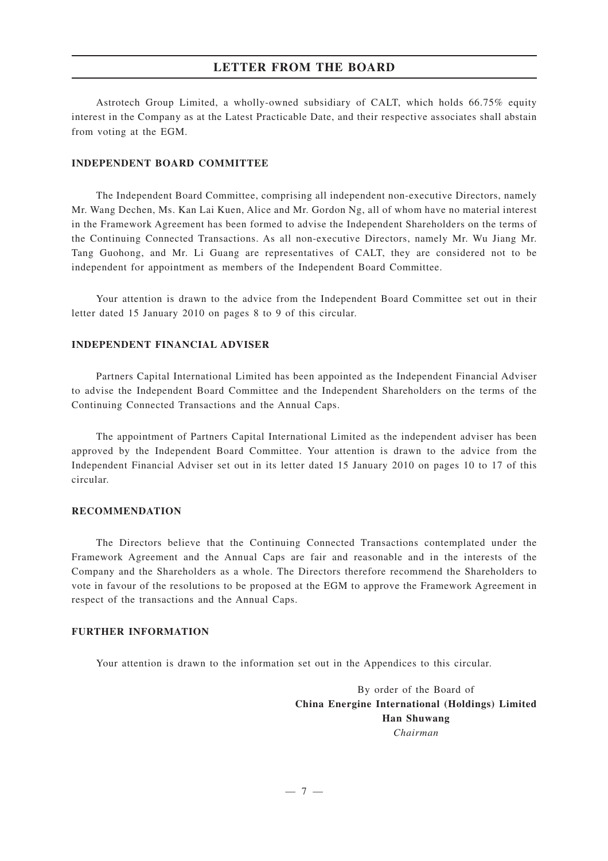Astrotech Group Limited, a wholly-owned subsidiary of CALT, which holds 66.75% equity interest in the Company as at the Latest Practicable Date, and their respective associates shall abstain from voting at the EGM.

#### **INDEPENDENT BOARD COMMITTEE**

The Independent Board Committee, comprising all independent non-executive Directors, namely Mr. Wang Dechen, Ms. Kan Lai Kuen, Alice and Mr. Gordon Ng, all of whom have no material interest in the Framework Agreement has been formed to advise the Independent Shareholders on the terms of the Continuing Connected Transactions. As all non-executive Directors, namely Mr. Wu Jiang Mr. Tang Guohong, and Mr. Li Guang are representatives of CALT, they are considered not to be independent for appointment as members of the Independent Board Committee.

Your attention is drawn to the advice from the Independent Board Committee set out in their letter dated 15 January 2010 on pages 8 to 9 of this circular.

#### **INDEPENDENT FINANCIAL ADVISER**

Partners Capital International Limited has been appointed as the Independent Financial Adviser to advise the Independent Board Committee and the Independent Shareholders on the terms of the Continuing Connected Transactions and the Annual Caps.

The appointment of Partners Capital International Limited as the independent adviser has been approved by the Independent Board Committee. Your attention is drawn to the advice from the Independent Financial Adviser set out in its letter dated 15 January 2010 on pages 10 to 17 of this circular.

#### **RECOMMENDATION**

The Directors believe that the Continuing Connected Transactions contemplated under the Framework Agreement and the Annual Caps are fair and reasonable and in the interests of the Company and the Shareholders as a whole. The Directors therefore recommend the Shareholders to vote in favour of the resolutions to be proposed at the EGM to approve the Framework Agreement in respect of the transactions and the Annual Caps.

#### **FURTHER INFORMATION**

Your attention is drawn to the information set out in the Appendices to this circular.

By order of the Board of **China Energine International (Holdings) Limited Han Shuwang** *Chairman*

 $-7-$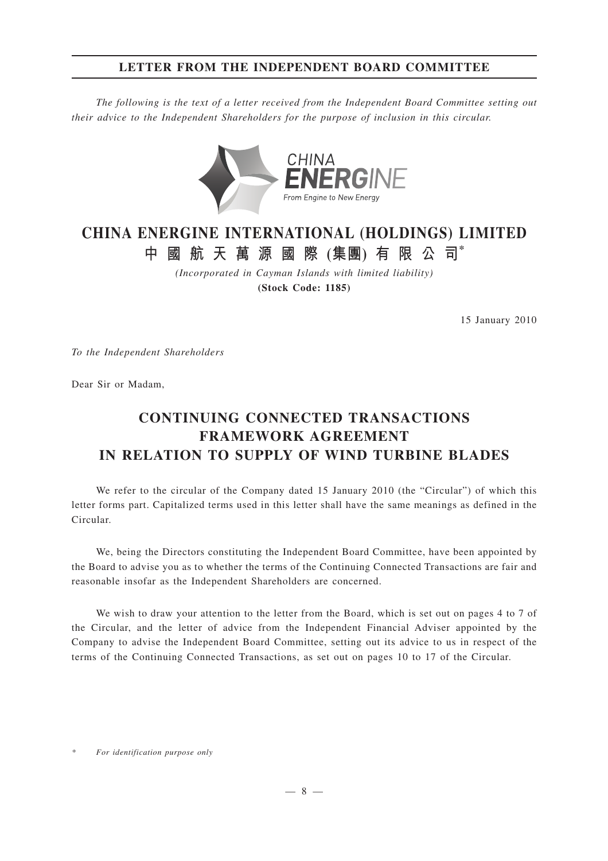## **LETTER FROM THE INDEPENDENT BOARD COMMITTEE**

*The following is the text of a letter received from the Independent Board Committee setting out their advice to the Independent Shareholders for the purpose of inclusion in this circular.*



# **CHINA ENERGINE INTERNATIONAL (HOLDINGS) LIMITED 中國航天萬源國際 (集團) 有限公司\***

*(Incorporated in Cayman Islands with limited liability)* **(Stock Code: 1185)**

15 January 2010

*To the Independent Shareholders*

Dear Sir or Madam,

# **CONTINUING CONNECTED TRANSACTIONS FRAMEWORK AGREEMENT IN RELATION TO SUPPLY OF WIND TURBINE BLADES**

We refer to the circular of the Company dated 15 January 2010 (the "Circular") of which this letter forms part. Capitalized terms used in this letter shall have the same meanings as defined in the Circular.

We, being the Directors constituting the Independent Board Committee, have been appointed by the Board to advise you as to whether the terms of the Continuing Connected Transactions are fair and reasonable insofar as the Independent Shareholders are concerned.

We wish to draw your attention to the letter from the Board, which is set out on pages 4 to 7 of the Circular, and the letter of advice from the Independent Financial Adviser appointed by the Company to advise the Independent Board Committee, setting out its advice to us in respect of the terms of the Continuing Connected Transactions, as set out on pages 10 to 17 of the Circular.

*<sup>\*</sup> For identification purpose only*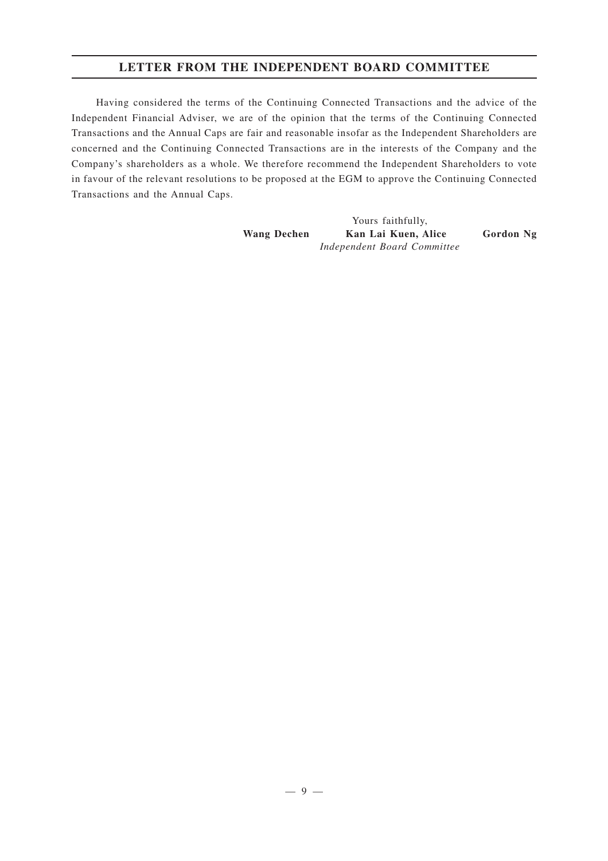## **LETTER FROM THE INDEPENDENT BOARD COMMITTEE**

Having considered the terms of the Continuing Connected Transactions and the advice of the Independent Financial Adviser, we are of the opinion that the terms of the Continuing Connected Transactions and the Annual Caps are fair and reasonable insofar as the Independent Shareholders are concerned and the Continuing Connected Transactions are in the interests of the Company and the Company's shareholders as a whole. We therefore recommend the Independent Shareholders to vote in favour of the relevant resolutions to be proposed at the EGM to approve the Continuing Connected Transactions and the Annual Caps.

> Yours faithfully, **Wang Dechen Kan Lai Kuen, Alice Gordon Ng** *Independent Board Committee*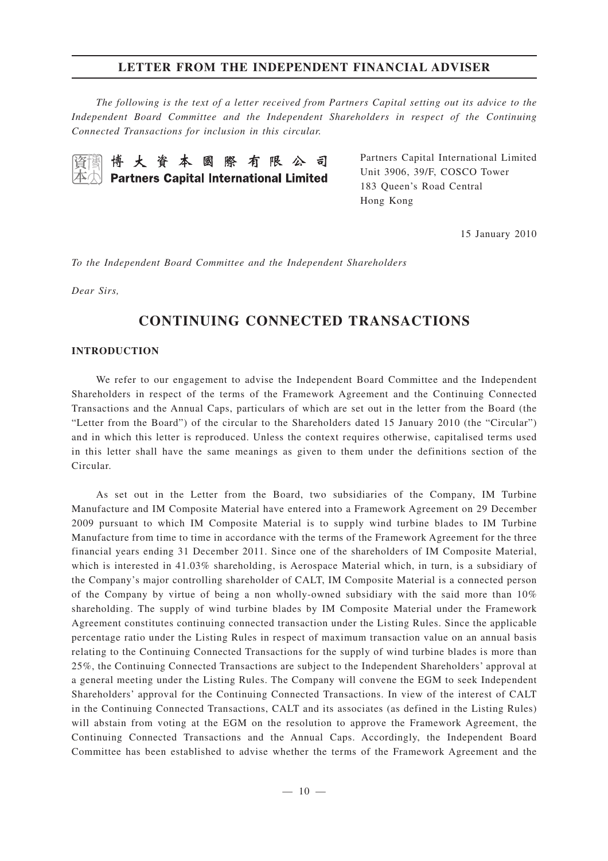*The following is the text of a letter received from Partners Capital setting out its advice to the Independent Board Committee and the Independent Shareholders in respect of the Continuing Connected Transactions for inclusion in this circular.*

博大資本國際有限公司 **Partners Capital International Limited** 

Partners Capital International Limited Unit 3906, 39/F, COSCO Tower 183 Queen's Road Central Hong Kong

15 January 2010

*To the Independent Board Committee and the Independent Shareholders*

*Dear Sirs,*

# **CONTINUING CONNECTED TRANSACTIONS**

#### **INTRODUCTION**

We refer to our engagement to advise the Independent Board Committee and the Independent Shareholders in respect of the terms of the Framework Agreement and the Continuing Connected Transactions and the Annual Caps, particulars of which are set out in the letter from the Board (the "Letter from the Board") of the circular to the Shareholders dated 15 January 2010 (the "Circular") and in which this letter is reproduced. Unless the context requires otherwise, capitalised terms used in this letter shall have the same meanings as given to them under the definitions section of the Circular.

As set out in the Letter from the Board, two subsidiaries of the Company, IM Turbine Manufacture and IM Composite Material have entered into a Framework Agreement on 29 December 2009 pursuant to which IM Composite Material is to supply wind turbine blades to IM Turbine Manufacture from time to time in accordance with the terms of the Framework Agreement for the three financial years ending 31 December 2011. Since one of the shareholders of IM Composite Material, which is interested in 41.03% shareholding, is Aerospace Material which, in turn, is a subsidiary of the Company's major controlling shareholder of CALT, IM Composite Material is a connected person of the Company by virtue of being a non wholly-owned subsidiary with the said more than 10% shareholding. The supply of wind turbine blades by IM Composite Material under the Framework Agreement constitutes continuing connected transaction under the Listing Rules. Since the applicable percentage ratio under the Listing Rules in respect of maximum transaction value on an annual basis relating to the Continuing Connected Transactions for the supply of wind turbine blades is more than 25%, the Continuing Connected Transactions are subject to the Independent Shareholders' approval at a general meeting under the Listing Rules. The Company will convene the EGM to seek Independent Shareholders' approval for the Continuing Connected Transactions. In view of the interest of CALT in the Continuing Connected Transactions, CALT and its associates (as defined in the Listing Rules) will abstain from voting at the EGM on the resolution to approve the Framework Agreement, the Continuing Connected Transactions and the Annual Caps. Accordingly, the Independent Board Committee has been established to advise whether the terms of the Framework Agreement and the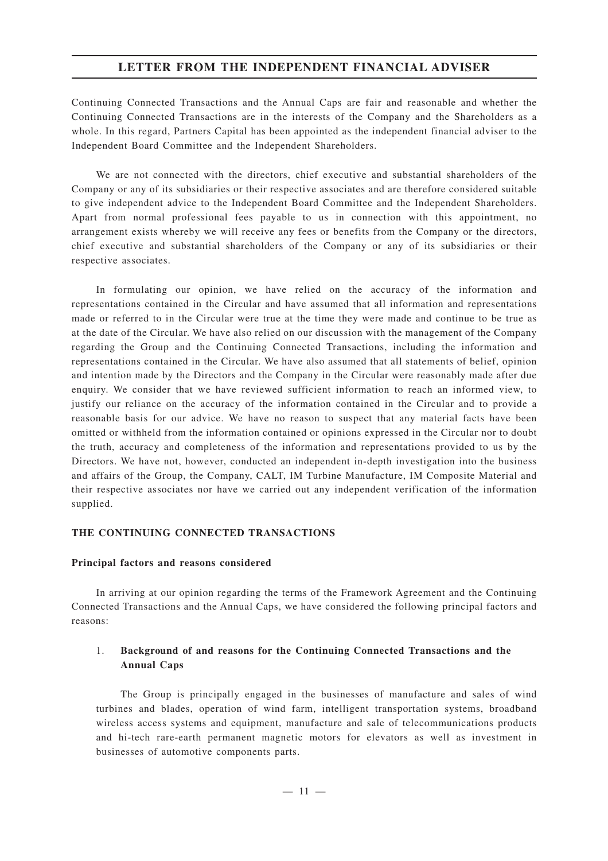Continuing Connected Transactions and the Annual Caps are fair and reasonable and whether the Continuing Connected Transactions are in the interests of the Company and the Shareholders as a whole. In this regard, Partners Capital has been appointed as the independent financial adviser to the Independent Board Committee and the Independent Shareholders.

We are not connected with the directors, chief executive and substantial shareholders of the Company or any of its subsidiaries or their respective associates and are therefore considered suitable to give independent advice to the Independent Board Committee and the Independent Shareholders. Apart from normal professional fees payable to us in connection with this appointment, no arrangement exists whereby we will receive any fees or benefits from the Company or the directors, chief executive and substantial shareholders of the Company or any of its subsidiaries or their respective associates.

In formulating our opinion, we have relied on the accuracy of the information and representations contained in the Circular and have assumed that all information and representations made or referred to in the Circular were true at the time they were made and continue to be true as at the date of the Circular. We have also relied on our discussion with the management of the Company regarding the Group and the Continuing Connected Transactions, including the information and representations contained in the Circular. We have also assumed that all statements of belief, opinion and intention made by the Directors and the Company in the Circular were reasonably made after due enquiry. We consider that we have reviewed sufficient information to reach an informed view, to justify our reliance on the accuracy of the information contained in the Circular and to provide a reasonable basis for our advice. We have no reason to suspect that any material facts have been omitted or withheld from the information contained or opinions expressed in the Circular nor to doubt the truth, accuracy and completeness of the information and representations provided to us by the Directors. We have not, however, conducted an independent in-depth investigation into the business and affairs of the Group, the Company, CALT, IM Turbine Manufacture, IM Composite Material and their respective associates nor have we carried out any independent verification of the information supplied.

#### **THE CONTINUING CONNECTED TRANSACTIONS**

#### **Principal factors and reasons considered**

In arriving at our opinion regarding the terms of the Framework Agreement and the Continuing Connected Transactions and the Annual Caps, we have considered the following principal factors and reasons:

#### 1. **Background of and reasons for the Continuing Connected Transactions and the Annual Caps**

The Group is principally engaged in the businesses of manufacture and sales of wind turbines and blades, operation of wind farm, intelligent transportation systems, broadband wireless access systems and equipment, manufacture and sale of telecommunications products and hi-tech rare-earth permanent magnetic motors for elevators as well as investment in businesses of automotive components parts.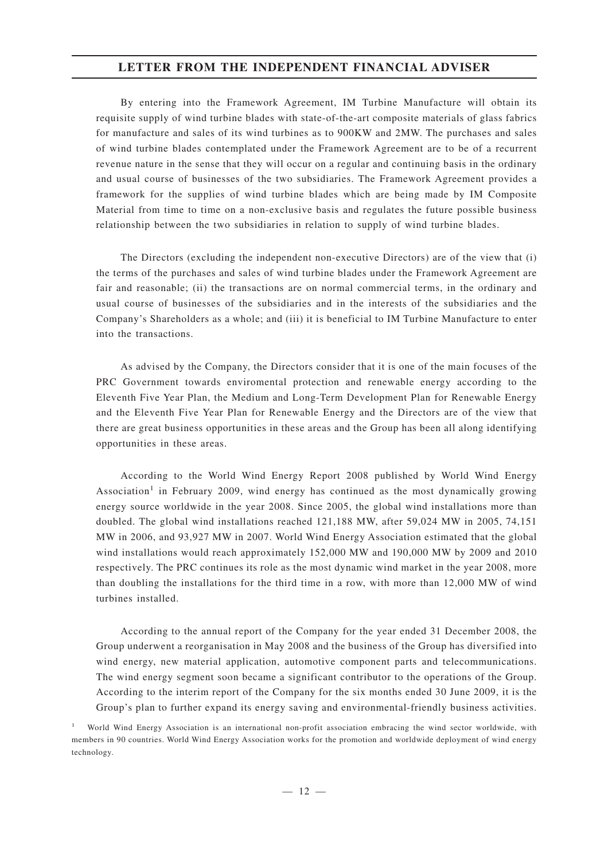By entering into the Framework Agreement, IM Turbine Manufacture will obtain its requisite supply of wind turbine blades with state-of-the-art composite materials of glass fabrics for manufacture and sales of its wind turbines as to 900KW and 2MW. The purchases and sales of wind turbine blades contemplated under the Framework Agreement are to be of a recurrent revenue nature in the sense that they will occur on a regular and continuing basis in the ordinary and usual course of businesses of the two subsidiaries. The Framework Agreement provides a framework for the supplies of wind turbine blades which are being made by IM Composite Material from time to time on a non-exclusive basis and regulates the future possible business relationship between the two subsidiaries in relation to supply of wind turbine blades.

The Directors (excluding the independent non-executive Directors) are of the view that (i) the terms of the purchases and sales of wind turbine blades under the Framework Agreement are fair and reasonable; (ii) the transactions are on normal commercial terms, in the ordinary and usual course of businesses of the subsidiaries and in the interests of the subsidiaries and the Company's Shareholders as a whole; and (iii) it is beneficial to IM Turbine Manufacture to enter into the transactions.

As advised by the Company, the Directors consider that it is one of the main focuses of the PRC Government towards enviromental protection and renewable energy according to the Eleventh Five Year Plan, the Medium and Long-Term Development Plan for Renewable Energy and the Eleventh Five Year Plan for Renewable Energy and the Directors are of the view that there are great business opportunities in these areas and the Group has been all along identifying opportunities in these areas.

According to the World Wind Energy Report 2008 published by World Wind Energy Association<sup>1</sup> in February 2009, wind energy has continued as the most dynamically growing energy source worldwide in the year 2008. Since 2005, the global wind installations more than doubled. The global wind installations reached 121,188 MW, after 59,024 MW in 2005, 74,151 MW in 2006, and 93,927 MW in 2007. World Wind Energy Association estimated that the global wind installations would reach approximately 152,000 MW and 190,000 MW by 2009 and 2010 respectively. The PRC continues its role as the most dynamic wind market in the year 2008, more than doubling the installations for the third time in a row, with more than 12,000 MW of wind turbines installed.

According to the annual report of the Company for the year ended 31 December 2008, the Group underwent a reorganisation in May 2008 and the business of the Group has diversified into wind energy, new material application, automotive component parts and telecommunications. The wind energy segment soon became a significant contributor to the operations of the Group. According to the interim report of the Company for the six months ended 30 June 2009, it is the Group's plan to further expand its energy saving and environmental-friendly business activities.

<sup>1</sup> World Wind Energy Association is an international non-profit association embracing the wind sector worldwide, with members in 90 countries. World Wind Energy Association works for the promotion and worldwide deployment of wind energy technology.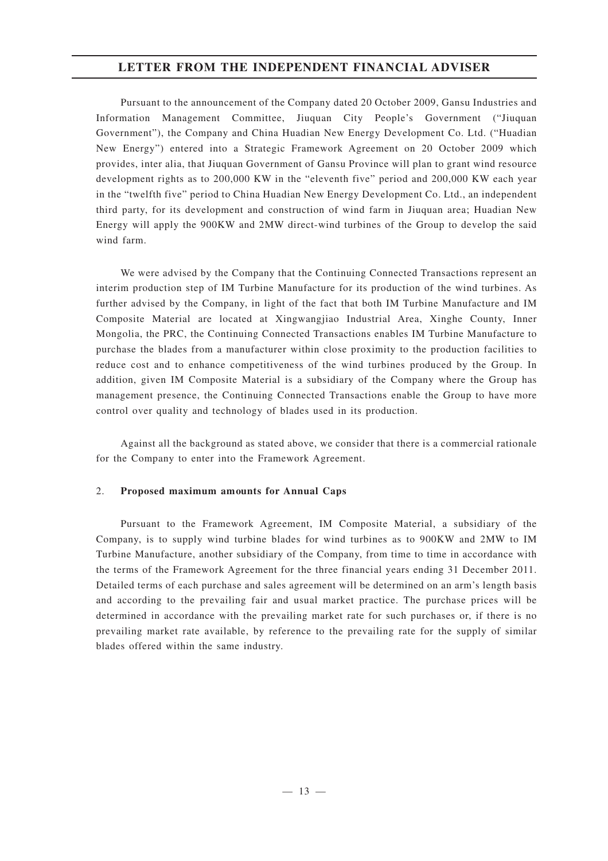Pursuant to the announcement of the Company dated 20 October 2009, Gansu Industries and Information Management Committee, Jiuquan City People's Government ("Jiuquan Government"), the Company and China Huadian New Energy Development Co. Ltd. ("Huadian New Energy") entered into a Strategic Framework Agreement on 20 October 2009 which provides, inter alia, that Jiuquan Government of Gansu Province will plan to grant wind resource development rights as to 200,000 KW in the "eleventh five" period and 200,000 KW each year in the "twelfth five" period to China Huadian New Energy Development Co. Ltd., an independent third party, for its development and construction of wind farm in Jiuquan area; Huadian New Energy will apply the 900KW and 2MW direct-wind turbines of the Group to develop the said wind farm.

We were advised by the Company that the Continuing Connected Transactions represent an interim production step of IM Turbine Manufacture for its production of the wind turbines. As further advised by the Company, in light of the fact that both IM Turbine Manufacture and IM Composite Material are located at Xingwangjiao Industrial Area, Xinghe County, Inner Mongolia, the PRC, the Continuing Connected Transactions enables IM Turbine Manufacture to purchase the blades from a manufacturer within close proximity to the production facilities to reduce cost and to enhance competitiveness of the wind turbines produced by the Group. In addition, given IM Composite Material is a subsidiary of the Company where the Group has management presence, the Continuing Connected Transactions enable the Group to have more control over quality and technology of blades used in its production.

Against all the background as stated above, we consider that there is a commercial rationale for the Company to enter into the Framework Agreement.

#### 2. **Proposed maximum am ounts for Annual Caps**

Pursuant to the Framework Agreement, IM Composite Material, a subsidiary of the Company, is to supply wind turbine blades for wind turbines as to 900KW and 2MW to IM Turbine Manufacture, another subsidiary of the Company, from time to time in accordance with the terms of the Framework Agreement for the three financial years ending 31 December 2011. Detailed terms of each purchase and sales agreement will be determined on an arm's length basis and according to the prevailing fair and usual market practice. The purchase prices will be determined in accordance with the prevailing market rate for such purchases or, if there is no prevailing market rate available, by reference to the prevailing rate for the supply of similar blades offered within the same industry.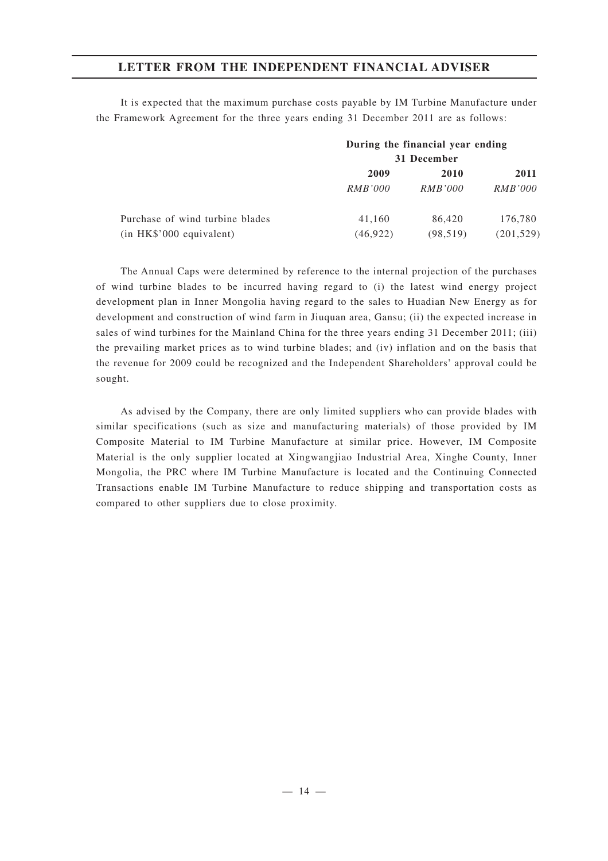It is expected that the maximum purchase costs payable by IM Turbine Manufacture under the Framework Agreement for the three years ending 31 December 2011 are as follows:

|                                 | During the financial year ending<br>31 December |                |                |
|---------------------------------|-------------------------------------------------|----------------|----------------|
|                                 |                                                 |                |                |
|                                 | 2009                                            | 2010           | 2011           |
|                                 | <i>RMB'000</i>                                  | <i>RMB'000</i> | <i>RMB'000</i> |
| Purchase of wind turbine blades | 41.160                                          | 86,420         | 176,780        |
| $(in$ HK\$'000 equivalent)      | (46, 922)                                       | (98, 519)      | (201, 529)     |

The Annual Caps were determined by reference to the internal projection of the purchases of wind turbine blades to be incurred having regard to (i) the latest wind energy project development plan in Inner Mongolia having regard to the sales to Huadian New Energy as for development and construction of wind farm in Jiuquan area, Gansu; (ii) the expected increase in sales of wind turbines for the Mainland China for the three years ending 31 December 2011; (iii) the prevailing market prices as to wind turbine blades; and (iv) inflation and on the basis that the revenue for 2009 could be recognized and the Independent Shareholders' approval could be sought.

As advised by the Company, there are only limited suppliers who can provide blades with similar specifications (such as size and manufacturing materials) of those provided by IM Composite Material to IM Turbine Manufacture at similar price. However, IM Composite Material is the only supplier located at Xingwangjiao Industrial Area, Xinghe County, Inner Mongolia, the PRC where IM Turbine Manufacture is located and the Continuing Connected Transactions enable IM Turbine Manufacture to reduce shipping and transportation costs as compared to other suppliers due to close proximity.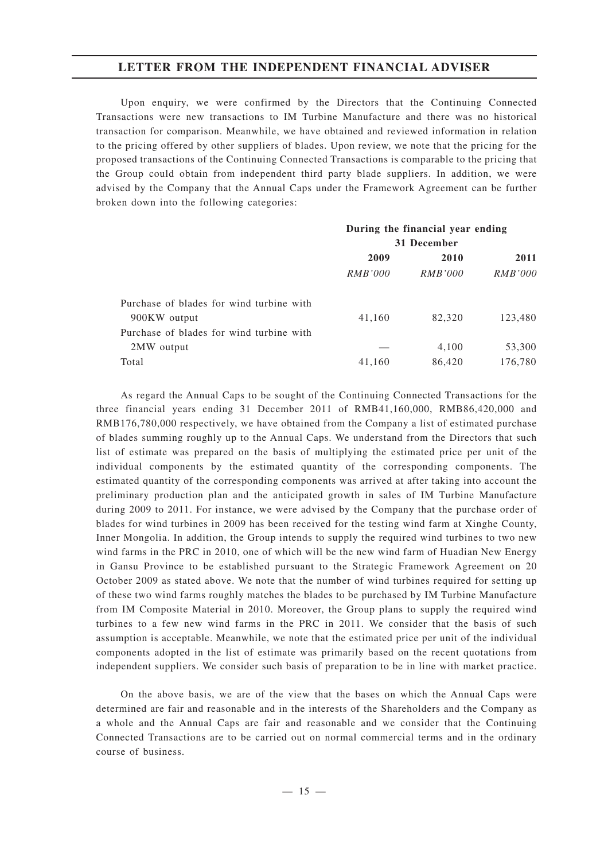Upon enquiry, we were confirmed by the Directors that the Continuing Connected Transactions were new transactions to IM Turbine Manufacture and there was no historical transaction for comparison. Meanwhile, we have obtained and reviewed information in relation to the pricing offered by other suppliers of blades. Upon review, we note that the pricing for the proposed transactions of the Continuing Connected Transactions is comparable to the pricing that the Group could obtain from independent third party blade suppliers. In addition, we were advised by the Company that the Annual Caps under the Framework Agreement can be further broken down into the following categories:

|                                          | During the financial year ending |                |                |
|------------------------------------------|----------------------------------|----------------|----------------|
|                                          | 31 December                      |                |                |
|                                          | 2009                             | 2010           | 2011           |
|                                          | <i>RMB'000</i>                   | <i>RMB'000</i> | <i>RMB'000</i> |
| Purchase of blades for wind turbine with |                                  |                |                |
| 900KW output                             | 41,160                           | 82,320         | 123,480        |
| Purchase of blades for wind turbine with |                                  |                |                |
| 2MW output                               |                                  | 4,100          | 53,300         |
| Total                                    | 41,160                           | 86,420         | 176,780        |
|                                          |                                  |                |                |

As regard the Annual Caps to be sought of the Continuing Connected Transactions for the three financial years ending 31 December 2011 of RMB41,160,000, RMB86,420,000 and RMB176,780,000 respectively, we have obtained from the Company a list of estimated purchase of blades summing roughly up to the Annual Caps. We understand from the Directors that such list of estimate was prepared on the basis of multiplying the estimated price per unit of the individual components by the estimated quantity of the corresponding components. The estimated quantity of the corresponding components was arrived at after taking into account the preliminary production plan and the anticipated growth in sales of IM Turbine Manufacture during 2009 to 2011. For instance, we were advised by the Company that the purchase order of blades for wind turbines in 2009 has been received for the testing wind farm at Xinghe County, Inner Mongolia. In addition, the Group intends to supply the required wind turbines to two new wind farms in the PRC in 2010, one of which will be the new wind farm of Huadian New Energy in Gansu Province to be established pursuant to the Strategic Framework Agreement on 20 October 2009 as stated above. We note that the number of wind turbines required for setting up of these two wind farms roughly matches the blades to be purchased by IM Turbine Manufacture from IM Composite Material in 2010. Moreover, the Group plans to supply the required wind turbines to a few new wind farms in the PRC in 2011. We consider that the basis of such assumption is acceptable. Meanwhile, we note that the estimated price per unit of the individual components adopted in the list of estimate was primarily based on the recent quotations from independent suppliers. We consider such basis of preparation to be in line with market practice.

On the above basis, we are of the view that the bases on which the Annual Caps were determined are fair and reasonable and in the interests of the Shareholders and the Company as a whole and the Annual Caps are fair and reasonable and we consider that the Continuing Connected Transactions are to be carried out on normal commercial terms and in the ordinary course of business.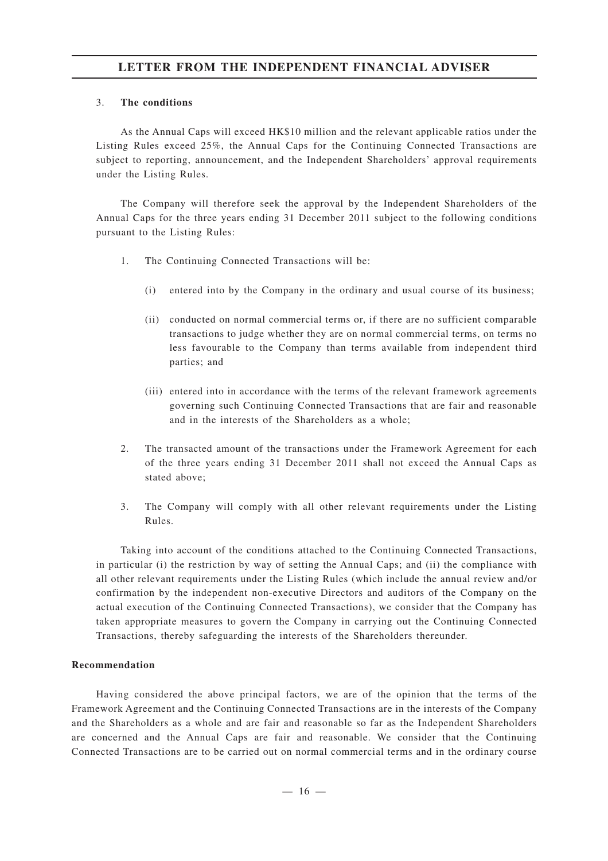#### 3. **The conditions**

As the Annual Caps will exceed HK\$10 million and the relevant applicable ratios under the Listing Rules exceed 25%, the Annual Caps for the Continuing Connected Transactions are subject to reporting, announcement, and the Independent Shareholders' approval requirements under the Listing Rules.

The Company will therefore seek the approval by the Independent Shareholders of the Annual Caps for the three years ending 31 December 2011 subject to the following conditions pursuant to the Listing Rules:

- 1. The Continuing Connected Transactions will be:
	- (i) entered into by the Company in the ordinary and usual course of its business;
	- (ii) conducted on normal commercial terms or, if there are no sufficient comparable transactions to judge whether they are on normal commercial terms, on terms no less favourable to the Company than terms available from independent third parties; and
	- (iii) entered into in accordance with the terms of the relevant framework agreements governing such Continuing Connected Transactions that are fair and reasonable and in the interests of the Shareholders as a whole;
- 2. The transacted amount of the transactions under the Framework Agreement for each of the three years ending 31 December 2011 shall not exceed the Annual Caps as stated above;
- 3. The Company will comply with all other relevant requirements under the Listing Rules.

Taking into account of the conditions attached to the Continuing Connected Transactions, in particular (i) the restriction by way of setting the Annual Caps; and (ii) the compliance with all other relevant requirements under the Listing Rules (which include the annual review and/or confirmation by the independent non-executive Directors and auditors of the Company on the actual execution of the Continuing Connected Transactions), we consider that the Company has taken appropriate measures to govern the Company in carrying out the Continuing Connected Transactions, thereby safeguarding the interests of the Shareholders thereunder.

#### **Recommendation**

Having considered the above principal factors, we are of the opinion that the terms of the Framework Agreement and the Continuing Connected Transactions are in the interests of the Company and the Shareholders as a whole and are fair and reasonable so far as the Independent Shareholders are concerned and the Annual Caps are fair and reasonable. We consider that the Continuing Connected Transactions are to be carried out on normal commercial terms and in the ordinary course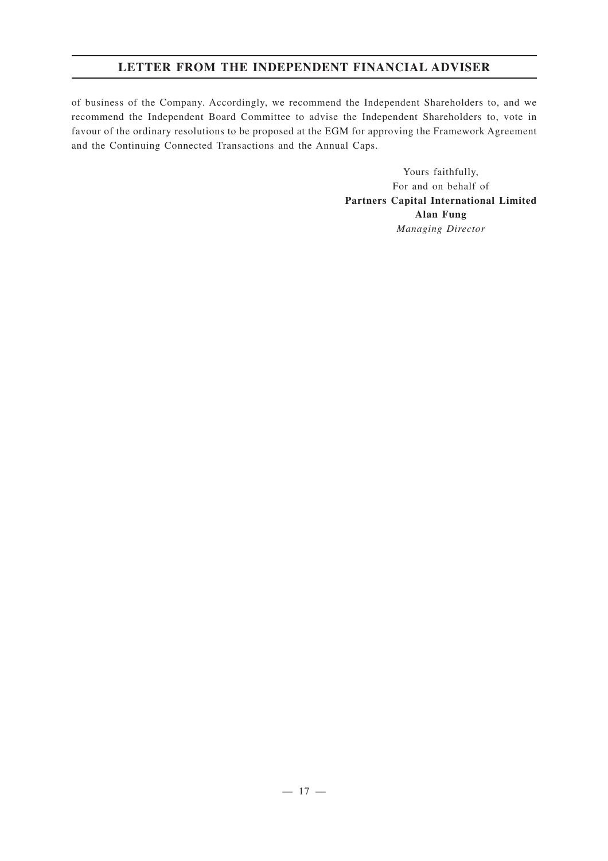of business of the Company. Accordingly, we recommend the Independent Shareholders to, and we recommend the Independent Board Committee to advise the Independent Shareholders to, vote in favour of the ordinary resolutions to be proposed at the EGM for approving the Framework Agreement and the Continuing Connected Transactions and the Annual Caps.

> Yours faithfully, For and on behalf of **Partners Capital International Limited Alan Fung** *Managing Director*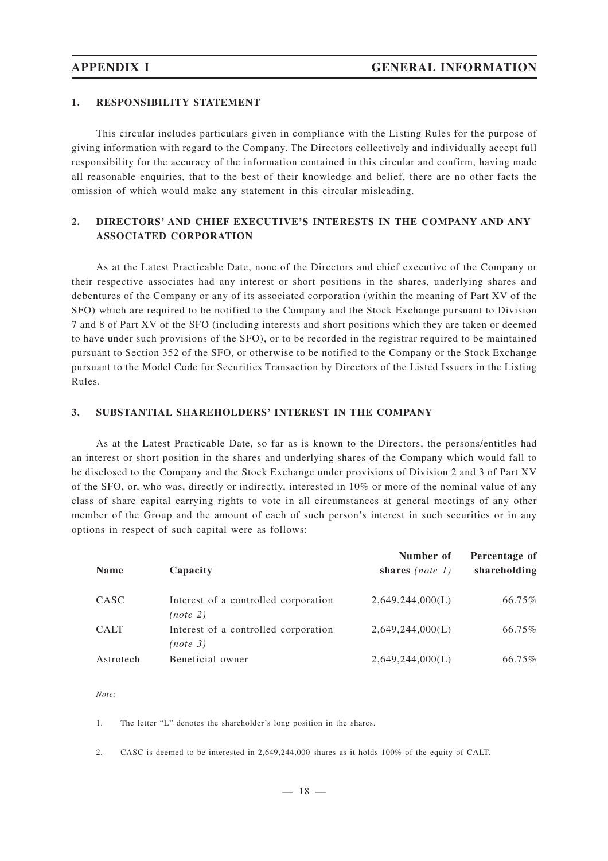#### **1. RESPONSIBILITY STATEMENT**

This circular includes particulars given in compliance with the Listing Rules for the purpose of giving information with regard to the Company. The Directors collectively and individually accept full responsibility for the accuracy of the information contained in this circular and confirm, having made all reasonable enquiries, that to the best of their knowledge and belief, there are no other facts the omission of which would make any statement in this circular misleading.

### **2. DIRECTORS' AND CHIEF EXECUTIVE'S INTERESTS IN THE COMPANY AND ANY ASSOCIATED CORPORATION**

As at the Latest Practicable Date, none of the Directors and chief executive of the Company or their respective associates had any interest or short positions in the shares, underlying shares and debentures of the Company or any of its associated corporation (within the meaning of Part XV of the SFO) which are required to be notified to the Company and the Stock Exchange pursuant to Division 7 and 8 of Part XV of the SFO (including interests and short positions which they are taken or deemed to have under such provisions of the SFO), or to be recorded in the registrar required to be maintained pursuant to Section 352 of the SFO, or otherwise to be notified to the Company or the Stock Exchange pursuant to the Model Code for Securities Transaction by Directors of the Listed Issuers in the Listing Rules.

#### **3. SUBSTANTIAL SHAREHOLDERS' INTEREST IN THE COMPANY**

As at the Latest Practicable Date, so far as is known to the Directors, the persons/entitles had an interest or short position in the shares and underlying shares of the Company which would fall to be disclosed to the Company and the Stock Exchange under provisions of Division 2 and 3 of Part XV of the SFO, or, who was, directly or indirectly, interested in 10% or more of the nominal value of any class of share capital carrying rights to vote in all circumstances at general meetings of any other member of the Group and the amount of each of such person's interest in such securities or in any options in respect of such capital were as follows:

| <b>Name</b> | Capacity                                         | Number of<br>shares $(note 1)$ | Percentage of<br>shareholding |
|-------------|--------------------------------------------------|--------------------------------|-------------------------------|
| CASC        | Interest of a controlled corporation<br>(note 2) | 2,649,244,000(L)               | 66.75%                        |
| <b>CALT</b> | Interest of a controlled corporation<br>(note 3) | 2,649,244,000(L)               | 66.75%                        |
| Astrotech   | Beneficial owner                                 | 2,649,244,000(L)               | 66.75%                        |

*Note:*

1. The letter "L" denotes the shareholder 's long position in the shares.

2. CASC is deemed to be interested in 2,649,244,000 shares as it holds 100% of the equity of CALT.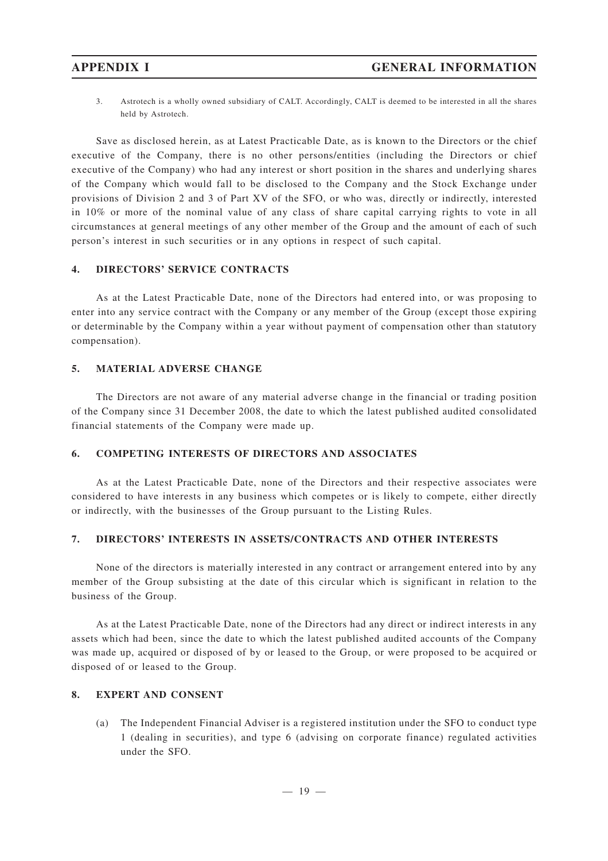3. Astrotech is a wholly owned subsidiary of CALT. Accordingly, CALT is deemed to be interested in all the shares held by Astrotech.

Save as disclosed herein, as at Latest Practicable Date, as is known to the Directors or the chief executive of the Company, there is no other persons/entities (including the Directors or chief executive of the Company) who had any interest or short position in the shares and underlying shares of the Company which would fall to be disclosed to the Company and the Stock Exchange under provisions of Division 2 and 3 of Part XV of the SFO, or who was, directly or indirectly, interested in 10% or more of the nominal value of any class of share capital carrying rights to vote in all circumstances at general meetings of any other member of the Group and the amount of each of such person's interest in such securities or in any options in respect of such capital.

#### **4. DIRECTORS' SERVICE CONTRACTS**

As at the Latest Practicable Date, none of the Directors had entered into, or was proposing to enter into any service contract with the Company or any member of the Group (except those expiring or determinable by the Company within a year without payment of compensation other than statutory compensation).

#### **5. MATERIAL ADVERSE CHANGE**

The Directors are not aware of any material adverse change in the financial or trading position of the Company since 31 December 2008, the date to which the latest published audited consolidated financial statements of the Company were made up.

#### **6. COMPETING INTERESTS OF DIRECTORS AND ASSOCIATES**

As at the Latest Practicable Date, none of the Directors and their respective associates were considered to have interests in any business which competes or is likely to compete, either directly or indirectly, with the businesses of the Group pursuant to the Listing Rules.

#### **7. DIRECTORS' INTERESTS IN ASSETS/CONTRACTS AND OTHER INTERESTS**

None of the directors is materially interested in any contract or arrangement entered into by any member of the Group subsisting at the date of this circular which is significant in relation to the business of the Group.

As at the Latest Practicable Date, none of the Directors had any direct or indirect interests in any assets which had been, since the date to which the latest published audited accounts of the Company was made up, acquired or disposed of by or leased to the Group, or were proposed to be acquired or disposed of or leased to the Group.

#### **8. EXPERT AND CONSENT**

(a) The Independent Financial Adviser is a registered institution under the SFO to conduct type 1 (dealing in securities), and type 6 (advising on corporate finance) regulated activities under the SFO.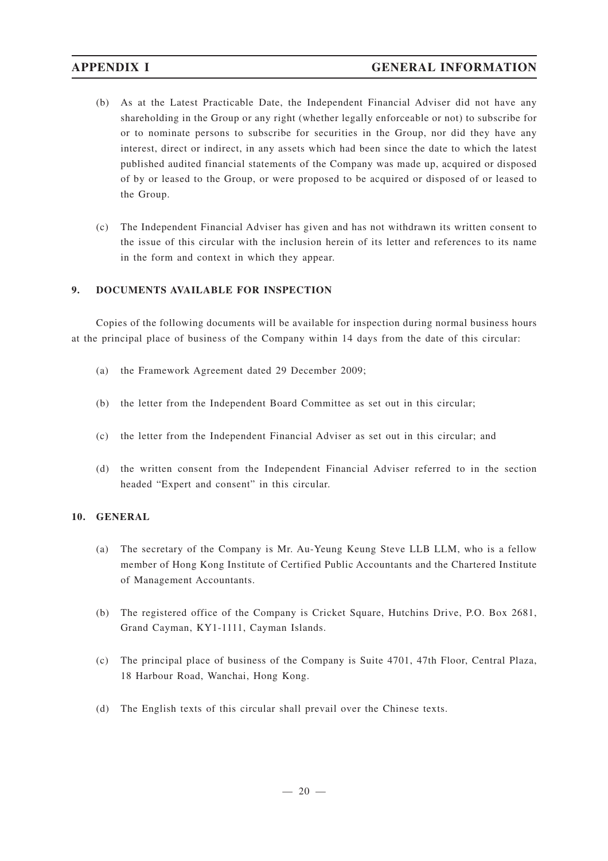- (b) As at the Latest Practicable Date, the Independent Financial Adviser did not have any shareholding in the Group or any right (whether legally enforceable or not) to subscribe for or to nominate persons to subscribe for securities in the Group, nor did they have any interest, direct or indirect, in any assets which had been since the date to which the latest published audited financial statements of the Company was made up, acquired or disposed of by or leased to the Group, or were proposed to be acquired or disposed of or leased to the Group.
- (c) The Independent Financial Adviser has given and has not withdrawn its written consent to the issue of this circular with the inclusion herein of its letter and references to its name in the form and context in which they appear.

#### **9. DOCUMENTS AVAILABLE FOR INSPECTION**

Copies of the following documents will be available for inspection during normal business hours at the principal place of business of the Company within 14 days from the date of this circular:

- (a) the Framework Agreement dated 29 December 2009;
- (b) the letter from the Independent Board Committee as set out in this circular;
- (c) the letter from the Independent Financial Adviser as set out in this circular; and
- (d) the written consent from the Independent Financial Adviser referred to in the section headed "Expert and consent" in this circular.

#### **10. GENERAL**

- (a) The secretary of the Company is Mr. Au-Yeung Keung Steve LLB LLM, who is a fellow member of Hong Kong Institute of Certified Public Accountants and the Chartered Institute of Management Accountants.
- (b) The registered office of the Company is Cricket Square, Hutchins Drive, P.O. Box 2681, Grand Cayman, KY1-1111, Cayman Islands.
- (c) The principal place of business of the Company is Suite 4701, 47th Floor, Central Plaza, 18 Harbour Road, Wanchai, Hong Kong.
- (d) The English texts of this circular shall prevail over the Chinese texts.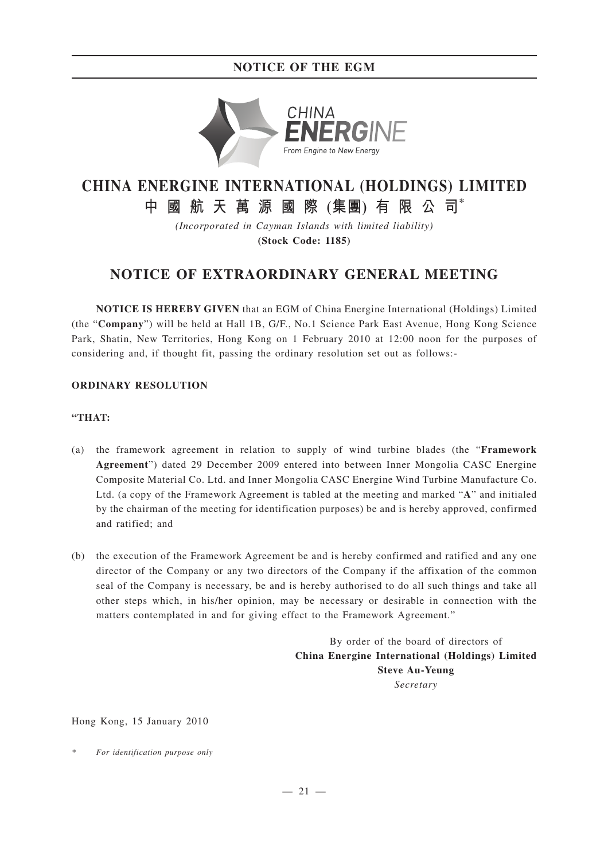# **NOTICE OF THE EGM**



# **CHINA ENERGINE INTERNATIONAL (HOLDINGS) LIMITED**

**中國航天萬源國際 (集團) 有限公司\***

*(Incorporated in Cayman Islands with limited liability)* **(Stock Code: 1185)**

# **NOTICE OF EXTRAORDINARY GENERAL MEETING**

**NOTICE IS HEREBY GIVEN** that an EGM of China Energine International (Holdings) Limited (the "**Company**") will be held at Hall 1B, G/F., No.1 Science Park East Avenue, Hong Kong Science Park, Shatin, New Territories, Hong Kong on 1 February 2010 at 12:00 noon for the purposes of considering and, if thought fit, passing the ordinary resolution set out as follows:-

#### **ORDINARY RESOLUTION**

### **"THAT:**

- (a) the framework agreement in relation to supply of wind turbine blades (the "**Framework Agreement**") dated 29 December 2009 entered into between Inner Mongolia CASC Energine Composite Material Co. Ltd. and Inner Mongolia CASC Energine Wind Turbine Manufacture Co. Ltd. (a copy of the Framework Agreement is tabled at the meeting and marked "**A**" and initialed by the chairman of the meeting for identification purposes) be and is hereby approved, confirmed and ratified; and
- (b) the execution of the Framework Agreement be and is hereby confirmed and ratified and any one director of the Company or any two directors of the Company if the affixation of the common seal of the Company is necessary, be and is hereby authorised to do all such things and take all other steps which, in his/her opinion, may be necessary or desirable in connection with the matters contemplated in and for giving effect to the Framework Agreement."

By order of the board of directors of **China Energine International (Holdings) Limited Steve Au-Yeung** *Secretary*

Hong Kong, 15 January 2010

*\* For identification purpose only*